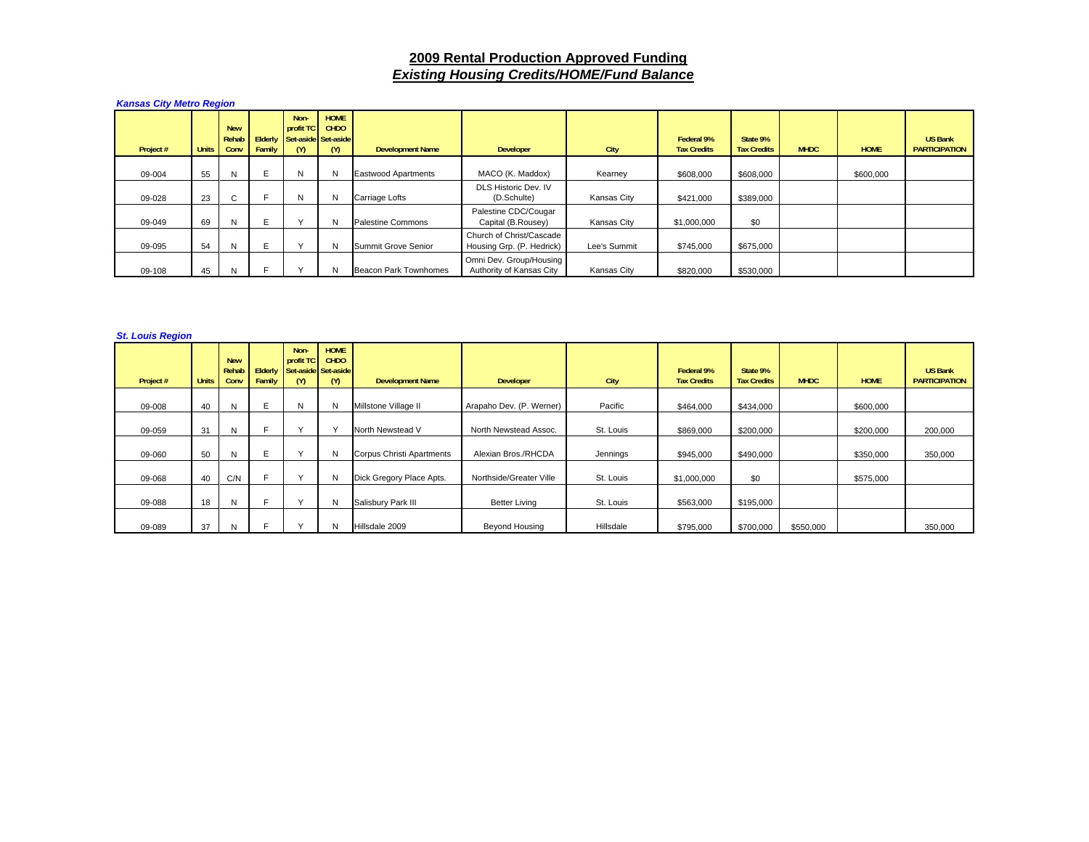## **2009 Rental Production Approved Funding** *Existing Housing Credits/HOME/Fund Balance*

*Kansas City Metro Region* 

| Project # | <b>Units</b> | <b>New</b><br>Rehab<br>Conv | Family | Non-<br>profit TC<br>Elderly Set-aside Set-aside<br>(M) | <b>HOME</b><br><b>CHDO</b><br>(Y) | <b>Development Name</b>    | Developer                                             | City         | Federal 9%<br><b>Tax Credits</b> | State 9%<br><b>Tax Credits</b> | <b>MHDC</b> | <b>HOME</b> | <b>US Bank</b><br><b>PARTICIPATION</b> |
|-----------|--------------|-----------------------------|--------|---------------------------------------------------------|-----------------------------------|----------------------------|-------------------------------------------------------|--------------|----------------------------------|--------------------------------|-------------|-------------|----------------------------------------|
| 09-004    | 55           | N                           | Е      | N                                                       | N                                 | <b>Eastwood Apartments</b> | MACO (K. Maddox)                                      | Kearney      | \$608,000                        | \$608,000                      |             | \$600,000   |                                        |
| 09-028    | 23           | C                           |        | N                                                       | N                                 | Carriage Lofts             | DLS Historic Dev. IV<br>(D.Schulte)                   | Kansas City  | \$421,000                        | \$389,000                      |             |             |                                        |
| 09-049    | 69           | N                           |        | $\sqrt{}$                                               | N                                 | <b>Palestine Commons</b>   | Palestine CDC/Cougar<br>Capital (B.Rousey)            | Kansas City  | \$1,000,000                      | \$0                            |             |             |                                        |
| 09-095    | 54           | N.                          |        | $\sqrt{}$                                               | N                                 | Summit Grove Senior        | Church of Christ/Cascade<br>Housing Grp. (P. Hedrick) | Lee's Summit | \$745,000                        | \$675,000                      |             |             |                                        |
| 09-108    | 45           |                             |        |                                                         | N                                 | Beacon Park Townhomes      | Omni Dev. Group/Housing<br>Authority of Kansas City   | Kansas City  | \$820,000                        | \$530,000                      |             |             |                                        |

## *St. Louis Region*

| Project # | <b>Units</b> | <b>New</b><br>Rehab<br>Conv | Elderly<br>Family | Non-<br>profit TC<br>Set-aside Set-aside<br>(M) | <b>HOME</b><br><b>CHDO</b><br>(Y) | <b>Development Name</b>   | <b>Developer</b>         | <b>City</b> | Federal 9%<br><b>Tax Credits</b> | State 9%<br><b>Tax Credits</b> | <b>MHDC</b> | <b>HOME</b> | <b>US Bank</b><br><b>PARTICIPATION</b> |
|-----------|--------------|-----------------------------|-------------------|-------------------------------------------------|-----------------------------------|---------------------------|--------------------------|-------------|----------------------------------|--------------------------------|-------------|-------------|----------------------------------------|
| 09-008    | 40           | N                           | E.                | N                                               | N                                 | Millstone Village II      | Arapaho Dev. (P. Werner) | Pacific     | \$464.000                        | \$434,000                      |             | \$600,000   |                                        |
| 09-059    | 31           | N                           |                   | $\sqrt{}$                                       |                                   | North Newstead V          | North Newstead Assoc.    | St. Louis   | \$869,000                        | \$200,000                      |             | \$200,000   | 200,000                                |
| 09-060    | 50           | N                           | E                 | $\checkmark$                                    | N                                 | Corpus Christi Apartments | Alexian Bros./RHCDA      | Jennings    | \$945,000                        | \$490,000                      |             | \$350,000   | 350,000                                |
| 09-068    | 40           | C/N                         |                   | $\checkmark$                                    | N                                 | Dick Gregory Place Apts.  | Northside/Greater Ville  | St. Louis   | \$1,000,000                      | \$0                            |             | \$575,000   |                                        |
| 09-088    | 18           | N                           |                   | $\checkmark$                                    | N                                 | Salisbury Park III        | <b>Better Living</b>     | St. Louis   | \$563,000                        | \$195,000                      |             |             |                                        |
| 09-089    | 37           | N                           |                   |                                                 | N                                 | Hillsdale 2009            | <b>Beyond Housing</b>    | Hillsdale   | \$795,000                        | \$700,000                      | \$550,000   |             | 350,000                                |